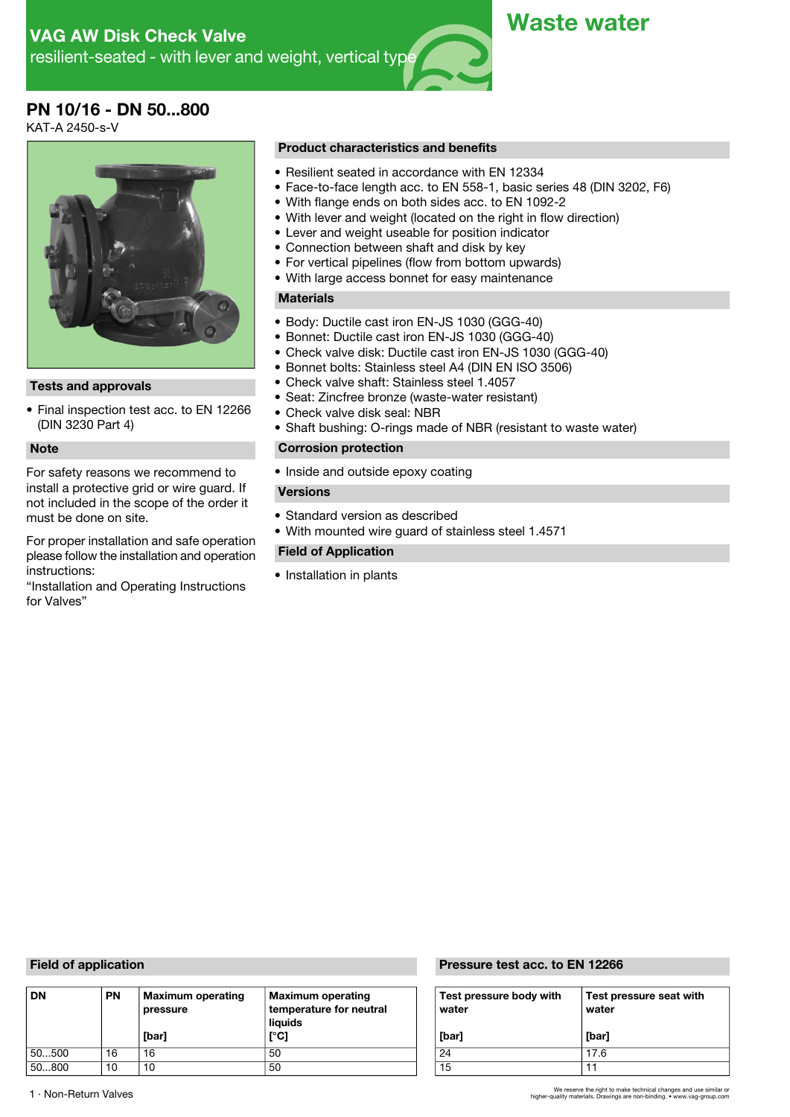# **PN 10/16 - DN 50...800**

KAT-A 2450-s-V



• Final inspection test acc. to EN 12266 (DIN 3230 Part 4)

For safety reasons we recommend to • Inside and outside epoxy coating install a protective grid or wire guard. If **Versions** not included in the scope of the order it<br>must be done on site.

For proper installation and safe operation please follow the installation and operation instructions:

"Installation and Operating Instructions for Valves"

### **Product characteristics and benefits**

- Resilient seated in accordance with EN 12334
- Face-to-face length acc. to EN 558-1, basic series 48 (DIN 3202, F6)
- With flange ends on both sides acc. to EN 1092-2
- With lever and weight (located on the right in flow direction)
- Lever and weight useable for position indicator
- Connection between shaft and disk by key
- For vertical pipelines (flow from bottom upwards)
- With large access bonnet for easy maintenance

# **Materials**

- Body: Ductile cast iron EN-JS 1030 (GGG-40)
- Bonnet: Ductile cast iron EN-JS 1030 (GGG-40)
- Check valve disk: Ductile cast iron EN-JS 1030 (GGG-40)
- Bonnet bolts: Stainless steel A4 (DIN EN ISO 3506)
- **Tests and approvals** Check valve shaft: Stainless steel 1.4057
	- Seat: Zincfree bronze (waste-water resistant)
	- Check valve disk seal: NBR
	- Shaft bushing: O-rings made of NBR (resistant to waste water)

# **Note Corrosion protection**

- Standard version as described
- With mounted wire guard of stainless steel 1.4571

### **Field of Application**

• Installation in plants

| <b>DN</b> | <b>PN</b> | <b>Maximum operating</b><br>pressure<br>[bar] | <b>Maximum operating</b><br>temperature for neutral<br>liauids<br>[°C] | Test pressure body with<br>water<br>[bar] | Test<br>wate<br>[bar] |
|-----------|-----------|-----------------------------------------------|------------------------------------------------------------------------|-------------------------------------------|-----------------------|
| 50500     | 16        | 16                                            | 50                                                                     | 24                                        | 17.6                  |
| 50800     | 10        | 10                                            | 50                                                                     | 15                                        |                       |

### **Field of application Pressure test acc. to EN 12266**

| Test pressure body with<br>water | Test pressure seat with<br>water |
|----------------------------------|----------------------------------|
| [bar]                            | [bar]                            |
| 24                               | 17.6                             |
| 15                               |                                  |

We reserve the right to make technical changes and use similar or 1 · Non-Return Valves higher-quality materials. Drawings are non-binding. • www.vag-group.com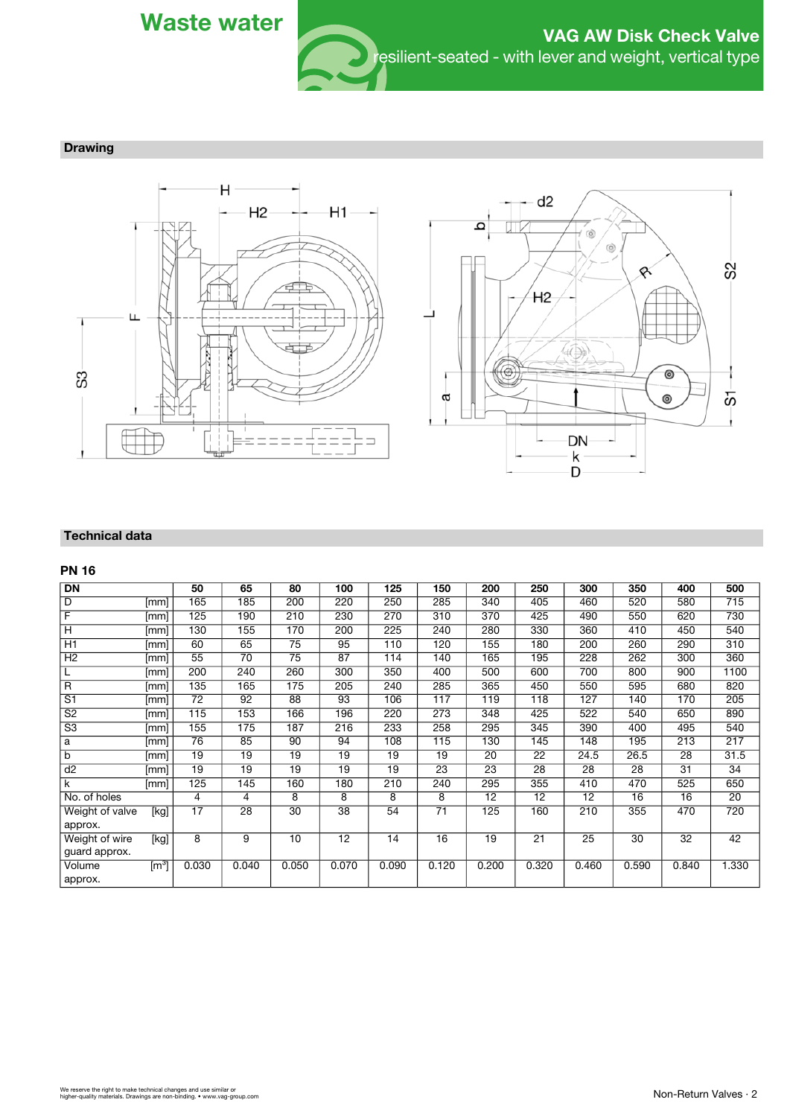

**Drawing**





### **Technical data**

# **PN 16**

| $\overline{DN}$          |                    | 50              | 65    | 80    | 100   | 125   | 150             | 200   | 250   | 300   | 350   | 400   | 500             |
|--------------------------|--------------------|-----------------|-------|-------|-------|-------|-----------------|-------|-------|-------|-------|-------|-----------------|
| D                        | [mm]               | 165             | 185   | 200   | 220   | 250   | 285             | 340   | 405   | 460   | 520   | 580   | 715             |
| F                        | [mm]               | 125             | 190   | 210   | 230   | 270   | 310             | 370   | 425   | 490   | 550   | 620   | 730             |
| H                        | [mm]               | 130             | 155   | 170   | 200   | 225   | 240             | 280   | 330   | 360   | 410   | 450   | 540             |
| H1                       | [mm]               | 60              | 65    | 75    | 95    | 110   | 120             | 155   | 180   | 200   | 260   | 290   | 310             |
| H <sub>2</sub>           | [mm]               | $\overline{55}$ | 70    | 75    | 87    | 114   | 140             | 165   | 195   | 228   | 262   | 300   | 360             |
| L                        | [mm]               | 200             | 240   | 260   | 300   | 350   | 400             | 500   | 600   | 700   | 800   | 900   | 1100            |
| $\overline{R}$           | [mm]               | 135             | 165   | 175   | 205   | 240   | 285             | 365   | 450   | 550   | 595   | 680   | 820             |
| S <sub>1</sub>           | [mm]               | 72              | 92    | 88    | 93    | 106   | 117             | 119   | 118   | 127   | 140   | 170   | 205             |
| S <sub>2</sub>           | [mm]               | 115             | 153   | 166   | 196   | 220   | 273             | 348   | 425   | 522   | 540   | 650   | 890             |
| $\overline{\mathsf{S}3}$ | [mm]               | 155             | 175   | 187   | 216   | 233   | 258             | 295   | 345   | 390   | 400   | 495   | 540             |
| a                        | [mm]               | 76              | 85    | 90    | 94    | 108   | 115             | 130   | 145   | 148   | 195   | 213   | 217             |
| b                        | [mm]               | 19              | 19    | 19    | 19    | 19    | 19              | 20    | 22    | 24.5  | 26.5  | 28    | 31.5            |
| d2                       | [mm]               | 19              | 19    | 19    | 19    | 19    | 23              | 23    | 28    | 28    | 28    | 31    | $\overline{34}$ |
| k                        | [mm]               | 125             | 145   | 160   | 180   | 210   | 240             | 295   | 355   | 410   | 470   | 525   | 650             |
| No. of holes             |                    | 4               | 4     | 8     | 8     | 8     | 8               | 12    | 12    | 12    | 16    | 16    | 20              |
| Weight of valve          | [kg]               | 17              | 28    | 30    | 38    | 54    | $\overline{71}$ | 125   | 160   | 210   | 355   | 470   | 720             |
| approx.                  |                    |                 |       |       |       |       |                 |       |       |       |       |       |                 |
| Weight of wire           | [kg]               | 8               | 9     | 10    | 12    | 14    | 16              | 19    | 21    | 25    | 30    | 32    | $\overline{42}$ |
| guard approx.            |                    |                 |       |       |       |       |                 |       |       |       |       |       |                 |
| Volume                   | $\textsf{[m$^3$]}$ | 0.030           | 0.040 | 0.050 | 0.070 | 0.090 | 0.120           | 0.200 | 0.320 | 0.460 | 0.590 | 0.840 | 1.330           |
| approx.                  |                    |                 |       |       |       |       |                 |       |       |       |       |       |                 |